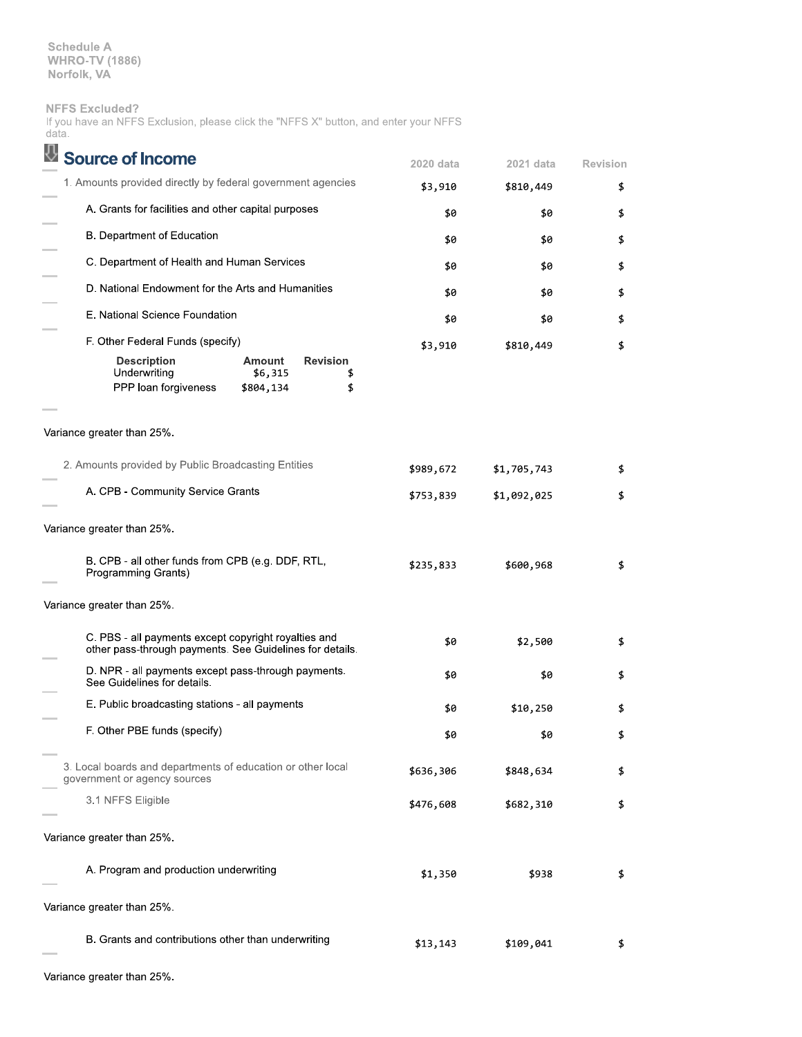**Schedule A WHRO-TV (1886)** Norfolk, VA

## **NFFS Excluded?**

|       |  | If you have an NFFS Exclusion, please click the "NFFS X" button, and enter your NFFS |  |  |  |  |  |
|-------|--|--------------------------------------------------------------------------------------|--|--|--|--|--|
| data. |  |                                                                                      |  |  |  |  |  |

| <b>Source of Income</b>                                                                                                     | 2020 data | 2021 data   | <b>Revision</b> |
|-----------------------------------------------------------------------------------------------------------------------------|-----------|-------------|-----------------|
| 1. Amounts provided directly by federal government agencies                                                                 | \$3,910   | \$810,449   | \$              |
| A. Grants for facilities and other capital purposes                                                                         | \$0       | \$0         | \$              |
| B. Department of Education                                                                                                  | \$0       | \$0         | \$              |
| C. Department of Health and Human Services                                                                                  | \$0       | \$0         | \$              |
| D. National Endowment for the Arts and Humanities                                                                           | \$0       | \$0         | \$              |
| E. National Science Foundation                                                                                              | \$0       | \$0         | \$              |
| F. Other Federal Funds (specify)                                                                                            | \$3,910   | \$810,449   | \$              |
| <b>Description</b><br>Amount<br><b>Revision</b><br>Underwriting<br>\$6,315<br>\$<br>PPP loan forgiveness<br>\$804,134<br>\$ |           |             |                 |
| Variance greater than 25%.                                                                                                  |           |             |                 |
| 2. Amounts provided by Public Broadcasting Entities                                                                         | \$989,672 | \$1,705,743 | \$              |
| A. CPB - Community Service Grants                                                                                           | \$753,839 | \$1,092,025 | \$              |
| Variance greater than 25%.                                                                                                  |           |             |                 |
| B. CPB - all other funds from CPB (e.g. DDF, RTL,<br>Programming Grants)                                                    | \$235,833 | \$600,968   | \$              |
| Variance greater than 25%.                                                                                                  |           |             |                 |
| C. PBS - all payments except copyright royalties and<br>other pass-through payments. See Guidelines for details.            | \$0       | \$2,500     | \$              |
| D. NPR - all payments except pass-through payments.<br>See Guidelines for details.                                          | \$0       | \$0         | \$              |
| E. Public broadcasting stations - all payments                                                                              | \$0       | \$10,250    | \$              |
| F. Other PBE funds (specify)                                                                                                | \$0       | \$0         | \$              |
| 3. Local boards and departments of education or other local<br>government or agency sources                                 | \$636,306 | \$848,634   | \$              |
| 3.1 NFFS Eligible                                                                                                           | \$476,608 | \$682,310   | \$              |
| Variance greater than 25%.                                                                                                  |           |             |                 |
| A. Program and production underwriting                                                                                      | \$1,350   | \$938       | \$              |
| Variance greater than 25%.                                                                                                  |           |             |                 |
| B. Grants and contributions other than underwriting                                                                         | \$13,143  | \$109,041   | \$              |

Variance greater than 25%.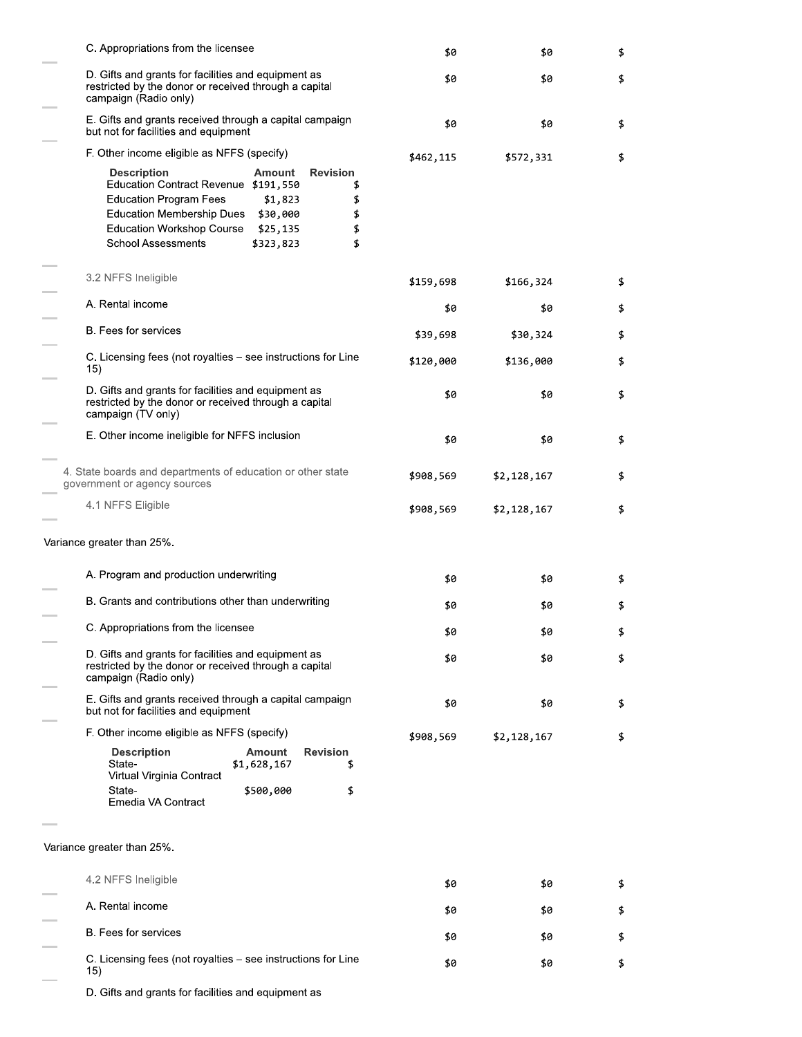| C. Appropriations from the licensee                                                                                                                                                                                                                                                                         | \$0       | \$0         | \$ |
|-------------------------------------------------------------------------------------------------------------------------------------------------------------------------------------------------------------------------------------------------------------------------------------------------------------|-----------|-------------|----|
| D. Gifts and grants for facilities and equipment as<br>restricted by the donor or received through a capital<br>campaign (Radio only)                                                                                                                                                                       | \$0       | \$0         | \$ |
| E. Gifts and grants received through a capital campaign<br>but not for facilities and equipment                                                                                                                                                                                                             | \$0       | \$0         | \$ |
| F. Other income eligible as NFFS (specify)                                                                                                                                                                                                                                                                  | \$462,115 | \$572,331   |    |
| <b>Revision</b><br><b>Description</b><br>Amount<br>Education Contract Revenue \$191,550<br>\$<br><b>Education Program Fees</b><br>\$1,823<br>\$<br><b>Education Membership Dues</b><br>\$30,000<br>\$<br><b>Education Workshop Course</b><br>\$25,135<br>\$<br>\$<br><b>School Assessments</b><br>\$323,823 |           |             |    |
| 3.2 NFFS Ineligible                                                                                                                                                                                                                                                                                         | \$159,698 | \$166,324   |    |
| A. Rental income                                                                                                                                                                                                                                                                                            | \$0       | \$0         | \$ |
| B. Fees for services                                                                                                                                                                                                                                                                                        | \$39,698  | \$30,324    |    |
| C. Licensing fees (not royalties - see instructions for Line<br>15)                                                                                                                                                                                                                                         | \$120,000 | \$136,000   |    |
| D. Gifts and grants for facilities and equipment as<br>restricted by the donor or received through a capital<br>campaign (TV only)                                                                                                                                                                          | \$0       | \$0         |    |
| E. Other income ineligible for NFFS inclusion                                                                                                                                                                                                                                                               | \$0       | \$0         | \$ |
| 4. State boards and departments of education or other state<br>government or agency sources                                                                                                                                                                                                                 | \$908,569 | \$2,128,167 | \$ |
| 4.1 NFFS Eligible                                                                                                                                                                                                                                                                                           | \$908,569 | \$2,128,167 | \$ |
| Variance greater than 25%.                                                                                                                                                                                                                                                                                  |           |             |    |
| A. Program and production underwriting                                                                                                                                                                                                                                                                      | \$0       | \$0         |    |
| B. Grants and contributions other than underwriting                                                                                                                                                                                                                                                         | \$0       | \$0         |    |
| C. Appropriations from the licensee                                                                                                                                                                                                                                                                         | \$0       | \$0         | \$ |
| D. Gifts and grants for facilities and equipment as<br>restricted by the donor or received through a capital<br>campaign (Radio only)                                                                                                                                                                       | \$0       | \$0         | \$ |
| E. Gifts and grants received through a capital campaign<br>but not for facilities and equipment                                                                                                                                                                                                             | \$0       | \$0         | \$ |
| F. Other income eligible as NFFS (specify)                                                                                                                                                                                                                                                                  | \$908,569 | \$2,128,167 |    |
| <b>Description</b><br><b>Amount</b><br><b>Revision</b><br>State-<br>\$1,628,167<br>\$<br>Virtual Virginia Contract<br>State-<br>\$500,000<br>\$<br>Emedia VA Contract                                                                                                                                       |           |             |    |
| Variance greater than 25%.                                                                                                                                                                                                                                                                                  |           |             |    |
| 4.2 NFFS Ineligible                                                                                                                                                                                                                                                                                         | \$0       | \$0         |    |
| A. Rental income                                                                                                                                                                                                                                                                                            | \$0       | \$0         |    |
| <b>B.</b> Fees for services                                                                                                                                                                                                                                                                                 | \$0       | \$0         |    |
| C. Licensing fees (not royalties – see instructions for Line<br>15)                                                                                                                                                                                                                                         | \$0       | \$0         | \$ |
|                                                                                                                                                                                                                                                                                                             |           |             |    |

D. Gifts and grants for facilities and equipment as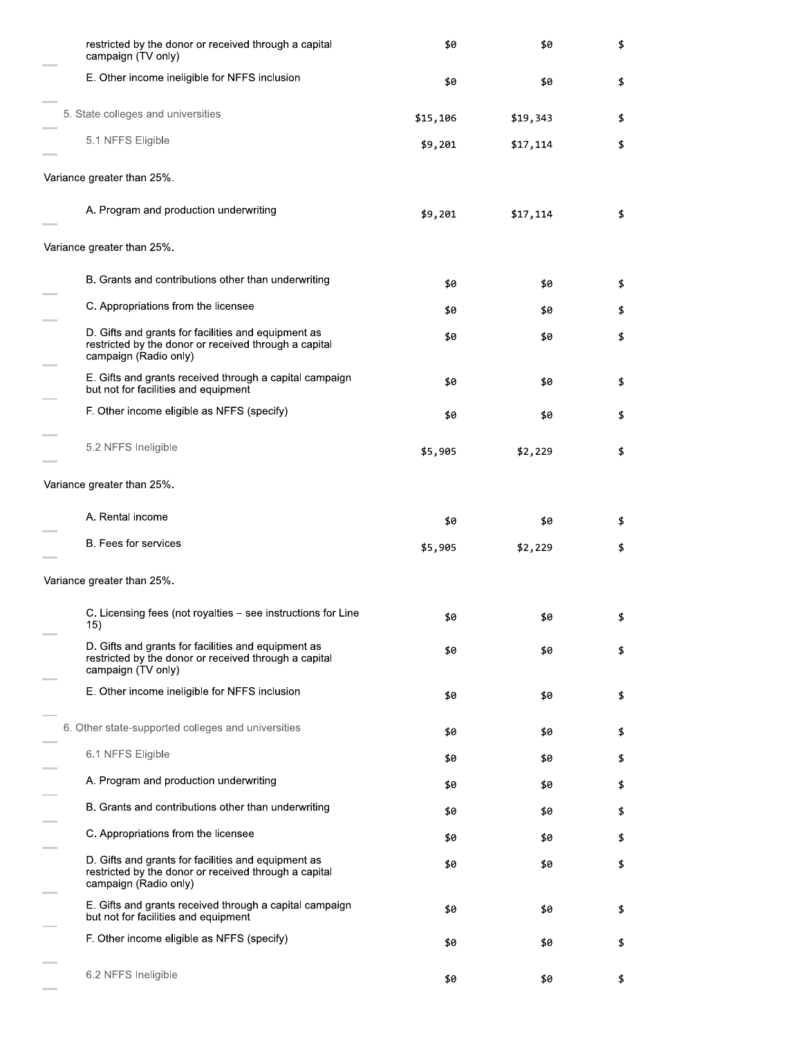| restricted by the donor or received through a capital<br>campaign (TV only)                                                           | \$0      | \$0      | \$ |
|---------------------------------------------------------------------------------------------------------------------------------------|----------|----------|----|
| E. Other income ineligible for NFFS inclusion                                                                                         | \$0      | \$0      | \$ |
| 5. State colleges and universities                                                                                                    | \$15,106 | \$19,343 | \$ |
| 5.1 NFFS Eligible                                                                                                                     | \$9,201  | \$17,114 | \$ |
| Variance greater than 25%.                                                                                                            |          |          |    |
| A. Program and production underwriting                                                                                                | \$9,201  | \$17,114 | \$ |
| Variance greater than 25%.                                                                                                            |          |          |    |
| B. Grants and contributions other than underwriting                                                                                   | \$0      | \$0      | \$ |
| C. Appropriations from the licensee                                                                                                   | \$0      | \$0      | \$ |
| D. Gifts and grants for facilities and equipment as<br>restricted by the donor or received through a capital<br>campaign (Radio only) | \$0      | \$0      | \$ |
| E. Gifts and grants received through a capital campaign<br>but not for facilities and equipment                                       | \$0      | \$0      | \$ |
| F. Other income eligible as NFFS (specify)                                                                                            | \$0      | \$0      | \$ |
| 5.2 NFFS Ineligible                                                                                                                   | \$5,905  | \$2,229  | \$ |
| Variance greater than 25%.                                                                                                            |          |          |    |
| A. Rental income                                                                                                                      | \$0      | \$0      | \$ |
| B. Fees for services                                                                                                                  | \$5,905  | \$2,229  | \$ |
| Variance greater than 25%.                                                                                                            |          |          |    |
| C. Licensing fees (not royalties – see instructions for Line<br>15)                                                                   | \$0      | \$0      |    |
| D. Gifts and grants for facilities and equipment as<br>restricted by the donor or received through a capital<br>campaign (TV only)    | \$0      | \$0      | \$ |
| E. Other income ineligible for NFFS inclusion                                                                                         | \$0      | \$0      | \$ |
| 6. Other state-supported colleges and universities                                                                                    | \$0      | \$0      | \$ |
| 6.1 NFFS Eligible                                                                                                                     | \$0      | \$0      | \$ |
| A. Program and production underwriting                                                                                                | \$0      | \$0      | \$ |
| B. Grants and contributions other than underwriting                                                                                   | \$0      | \$0      | \$ |
| C. Appropriations from the licensee                                                                                                   | \$0      | \$0      | \$ |
| D. Gifts and grants for facilities and equipment as<br>restricted by the donor or received through a capital<br>campaign (Radio only) | \$0      | \$0      | \$ |
| E. Gifts and grants received through a capital campaign<br>but not for facilities and equipment                                       | \$0      | \$0      | \$ |
| F. Other income eligible as NFFS (specify)                                                                                            | \$0      | \$0      | \$ |
| 6.2 NFFS Ineligible                                                                                                                   | \$0      | \$0      | \$ |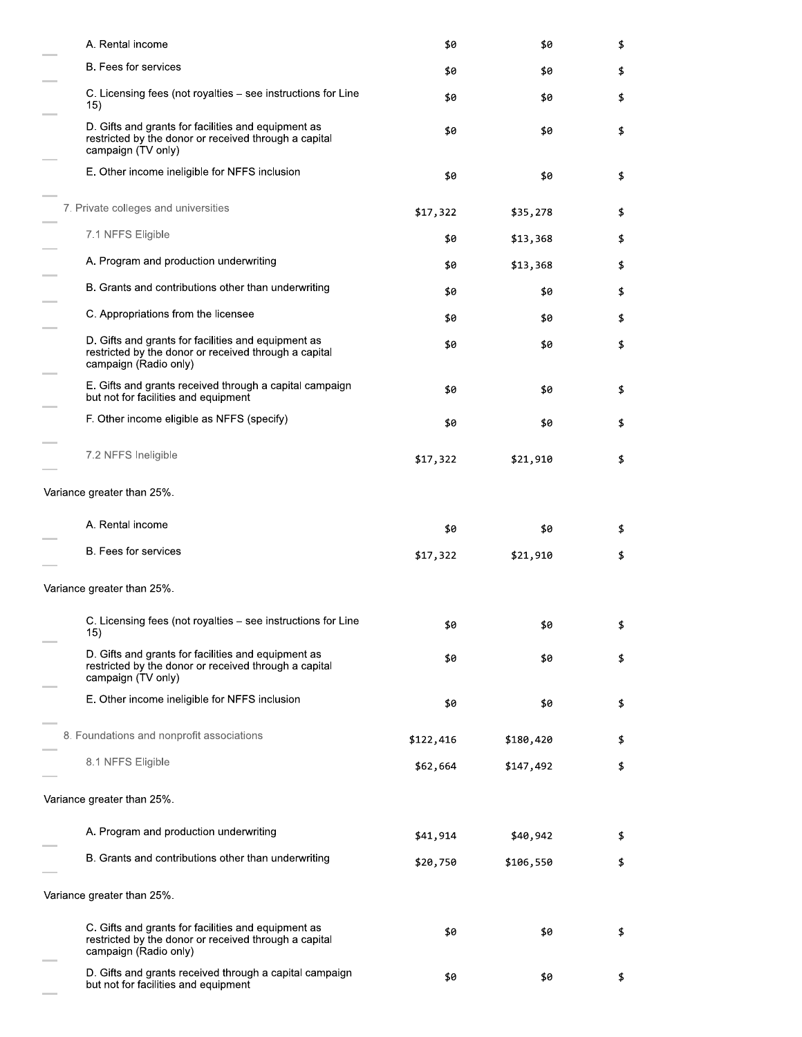| A. Rental income                                                                                                                      | \$0       | \$0       | \$ |
|---------------------------------------------------------------------------------------------------------------------------------------|-----------|-----------|----|
| B. Fees for services                                                                                                                  | \$0       | \$0       | \$ |
| C. Licensing fees (not royalties – see instructions for Line<br>15)                                                                   | \$0       | \$0       | \$ |
| D. Gifts and grants for facilities and equipment as<br>restricted by the donor or received through a capital<br>campaign (TV only)    | \$0       | \$0       | \$ |
| E. Other income ineligible for NFFS inclusion                                                                                         | \$0       | \$0       | \$ |
| 7. Private colleges and universities                                                                                                  | \$17,322  | \$35,278  | \$ |
| 7.1 NFFS Eligible                                                                                                                     | \$0       | \$13,368  | \$ |
| A. Program and production underwriting                                                                                                | \$0       | \$13,368  | \$ |
| B. Grants and contributions other than underwriting                                                                                   | \$0       | \$0       | \$ |
| C. Appropriations from the licensee                                                                                                   | \$0       | \$0       | \$ |
| D. Gifts and grants for facilities and equipment as<br>restricted by the donor or received through a capital<br>campaign (Radio only) | \$0       | \$0       | \$ |
| E. Gifts and grants received through a capital campaign<br>but not for facilities and equipment                                       | \$0       | \$0       | \$ |
| F. Other income eligible as NFFS (specify)                                                                                            | \$0       | \$0       | \$ |
| 7.2 NFFS Ineligible                                                                                                                   | \$17,322  | \$21,910  | \$ |
| Variance greater than 25%.                                                                                                            |           |           |    |
| A. Rental income                                                                                                                      | \$0       | \$0       | \$ |
| B. Fees for services                                                                                                                  | \$17,322  | \$21,910  | \$ |
| Variance greater than 25%.                                                                                                            |           |           |    |
| C. Licensing fees (not royalties – see instructions for Line<br>15)                                                                   | \$0       | \$0       | \$ |
| D. Gifts and grants for facilities and equipment as<br>restricted by the donor or received through a capital<br>campaign (TV only)    | \$0       | \$0       | \$ |
| E. Other income ineligible for NFFS inclusion                                                                                         | \$0       | \$0       | \$ |
| 8. Foundations and nonprofit associations                                                                                             | \$122,416 | \$180,420 | \$ |
| 8.1 NFFS Eligible                                                                                                                     | \$62,664  | \$147,492 | \$ |
| Variance greater than 25%.                                                                                                            |           |           |    |
| A. Program and production underwriting                                                                                                | \$41,914  | \$40,942  | \$ |
| B. Grants and contributions other than underwriting                                                                                   | \$20,750  | \$106,550 | \$ |
| Variance greater than 25%.                                                                                                            |           |           |    |
| C. Gifts and grants for facilities and equipment as<br>restricted by the donor or received through a capital<br>campaign (Radio only) | \$0       | \$0       | \$ |
| D. Gifts and grants received through a capital campaign<br>but not for facilities and equipment                                       | \$0       | \$0       | \$ |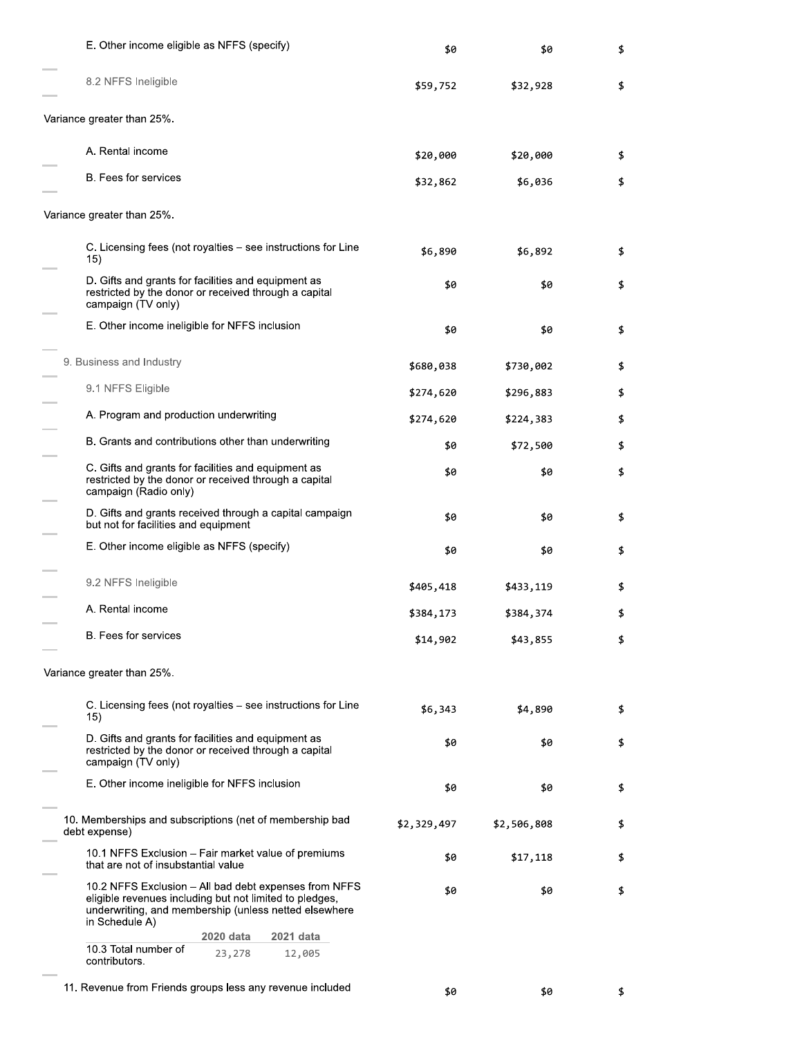| E. Other income eligible as NFFS (specify)                                                                                                                                                  | \$0         | \$0         | \$ |
|---------------------------------------------------------------------------------------------------------------------------------------------------------------------------------------------|-------------|-------------|----|
| 8.2 NFFS Ineligible                                                                                                                                                                         | \$59,752    | \$32,928    | \$ |
| Variance greater than 25%.                                                                                                                                                                  |             |             |    |
| A. Rental income                                                                                                                                                                            | \$20,000    | \$20,000    | \$ |
| <b>B.</b> Fees for services                                                                                                                                                                 | \$32,862    | \$6,036     | \$ |
| Variance greater than 25%.                                                                                                                                                                  |             |             |    |
| C. Licensing fees (not royalties - see instructions for Line<br>15)                                                                                                                         | \$6,890     | \$6,892     | \$ |
| D. Gifts and grants for facilities and equipment as<br>restricted by the donor or received through a capital<br>campaign (TV only)                                                          | \$0         | \$0         | \$ |
| E. Other income ineligible for NFFS inclusion                                                                                                                                               | \$0         | \$0         | \$ |
| 9. Business and Industry                                                                                                                                                                    | \$680,038   | \$730,002   | \$ |
| 9.1 NFFS Eligible                                                                                                                                                                           | \$274,620   | \$296,883   | \$ |
| A. Program and production underwriting                                                                                                                                                      | \$274,620   | \$224,383   | \$ |
| B. Grants and contributions other than underwriting                                                                                                                                         | \$0         | \$72,500    | \$ |
| C. Gifts and grants for facilities and equipment as<br>restricted by the donor or received through a capital<br>campaign (Radio only)                                                       | \$0         | \$0         | \$ |
| D. Gifts and grants received through a capital campaign<br>but not for facilities and equipment                                                                                             | \$0         | \$0         | \$ |
| E. Other income eligible as NFFS (specify)                                                                                                                                                  | \$0         | \$0         | \$ |
| 9.2 NFFS Ineligible                                                                                                                                                                         | \$405,418   | \$433,119   | \$ |
| A. Rental income                                                                                                                                                                            | \$384,173   | \$384,374   | \$ |
| <b>B.</b> Fees for services                                                                                                                                                                 | \$14,902    | \$43,855    | \$ |
| Variance greater than 25%.                                                                                                                                                                  |             |             |    |
| C. Licensing fees (not royalties – see instructions for Line<br>15)                                                                                                                         | \$6,343     | \$4,890     | \$ |
| D. Gifts and grants for facilities and equipment as<br>restricted by the donor or received through a capital<br>campaign (TV only)                                                          | \$0         | \$0         | \$ |
| E. Other income ineligible for NFFS inclusion                                                                                                                                               | \$0         | \$0         | \$ |
| 10. Memberships and subscriptions (net of membership bad<br>debt expense)                                                                                                                   | \$2,329,497 | \$2,506,808 | \$ |
| 10.1 NFFS Exclusion – Fair market value of premiums<br>that are not of insubstantial value                                                                                                  | \$0         | \$17,118    | \$ |
| 10.2 NFFS Exclusion - All bad debt expenses from NFFS<br>eligible revenues including but not limited to pledges,<br>underwriting, and membership (unless netted elsewhere<br>in Schedule A) | \$0         | \$0         | \$ |
| 2020 data<br>2021 data<br>10.3 Total number of<br>23,278<br>12,005                                                                                                                          |             |             |    |
| contributors.                                                                                                                                                                               |             |             |    |
| 11. Revenue from Friends groups less any revenue included                                                                                                                                   | \$0         | \$0         | \$ |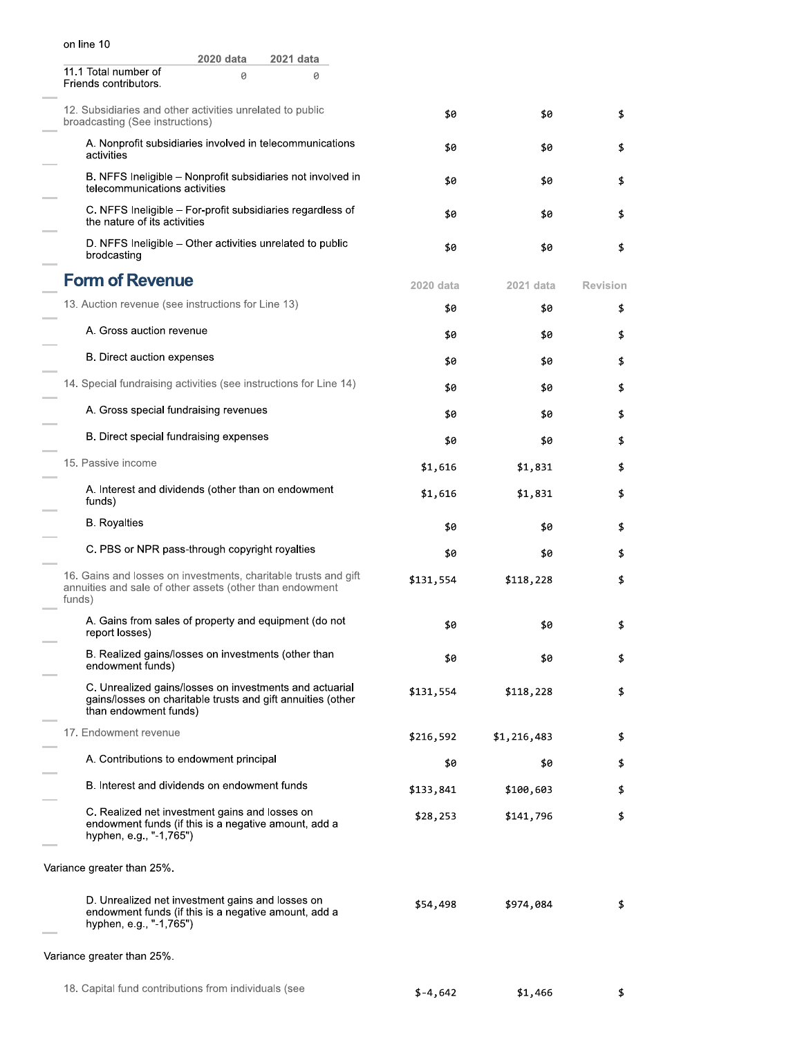| on line 10                                                                                                                                      |           |             |                 |
|-------------------------------------------------------------------------------------------------------------------------------------------------|-----------|-------------|-----------------|
| 2020 data<br>2021 data                                                                                                                          |           |             |                 |
| 11.1 Total number of<br>0<br>0<br>Friends contributors.                                                                                         |           |             |                 |
| 12. Subsidiaries and other activities unrelated to public<br>broadcasting (See instructions)                                                    | \$0       | \$0         | \$              |
| A. Nonprofit subsidiaries involved in telecommunications<br>activities                                                                          | \$0       | \$0         | \$              |
| B. NFFS Ineligible – Nonprofit subsidiaries not involved in<br>telecommunications activities                                                    | \$0       | \$0         | \$              |
| C. NFFS Ineligible - For-profit subsidiaries regardless of<br>the nature of its activities                                                      | \$0       | \$0         | \$              |
| D. NFFS Ineligible - Other activities unrelated to public<br>brodcasting                                                                        | \$0       | \$0         | \$              |
| <b>Form of Revenue</b>                                                                                                                          | 2020 data | 2021 data   | <b>Revision</b> |
| 13. Auction revenue (see instructions for Line 13)                                                                                              | \$0       | \$0         | \$              |
| A. Gross auction revenue                                                                                                                        | \$0       | \$0         | \$              |
| B. Direct auction expenses                                                                                                                      | \$0       | \$0         | \$              |
| 14. Special fundraising activities (see instructions for Line 14)                                                                               | \$0       | \$0         | \$              |
| A. Gross special fundraising revenues                                                                                                           | \$0       | \$0         | \$              |
| B. Direct special fundraising expenses                                                                                                          | \$0       | \$0         | \$              |
| 15. Passive income                                                                                                                              | \$1,616   | \$1,831     | \$              |
| A. Interest and dividends (other than on endowment<br>funds)                                                                                    | \$1,616   | \$1,831     | \$              |
| <b>B.</b> Royalties                                                                                                                             | \$0       | \$0         | \$              |
| C. PBS or NPR pass-through copyright royalties                                                                                                  | \$0       | \$0         | \$              |
| 16. Gains and losses on investments, charitable trusts and gift<br>annuities and sale of other assets (other than endowment<br>funds)           | \$131,554 | \$118,228   | \$              |
| A. Gains from sales of property and equipment (do not<br>report losses)                                                                         | \$0       | \$0         |                 |
| B. Realized gains/losses on investments (other than<br>endowment funds)                                                                         | \$0       | \$0         | \$              |
| C. Unrealized gains/losses on investments and actuarial<br>gains/losses on charitable trusts and gift annuities (other<br>than endowment funds) | \$131,554 | \$118,228   | \$              |
| 17. Endowment revenue                                                                                                                           | \$216,592 | \$1,216,483 | \$              |
| A. Contributions to endowment principal                                                                                                         | \$0       | \$0         | \$              |
| B. Interest and dividends on endowment funds                                                                                                    | \$133,841 | \$100,603   | \$              |

C. Realized net investment gains and losses on endowment funds (if this is a negative amount, add a nypnen, e.g., "-1,765")

variance greater than 25%.

D. Unrealized net investment gains and losses on<br>endowment funds (if this is a negative amount, add a nypnen, e.g., "-1,765")  $$54,498$   $$974,084$  \$

variance greater than 25%.

 $$133,841$   $$100,603$  \$

 $$28,253$   $$141,796$  \$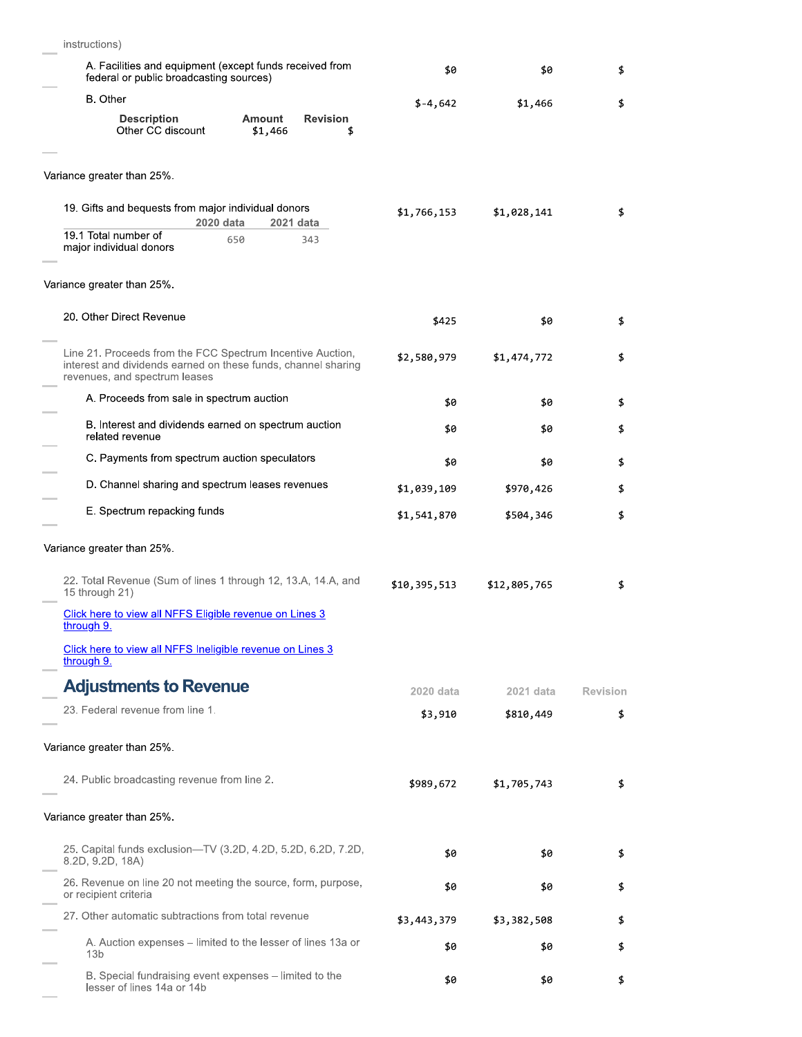| instructions)                                                                                                                                                |              |              |          |
|--------------------------------------------------------------------------------------------------------------------------------------------------------------|--------------|--------------|----------|
| A. Facilities and equipment (except funds received from<br>federal or public broadcasting sources)                                                           | \$0          | \$0          | \$       |
| <b>B.</b> Other                                                                                                                                              | $$-4,642$    | \$1,466      | \$       |
| <b>Description</b><br>Amount<br><b>Revision</b><br>Other CC discount<br>\$1,466<br>\$                                                                        |              |              |          |
| Variance greater than 25%.                                                                                                                                   |              |              |          |
| 19. Gifts and bequests from major individual donors<br>2020 data<br>2021 data                                                                                | \$1,766,153  | \$1,028,141  | \$       |
| 19.1 Total number of<br>650<br>343<br>major individual donors                                                                                                |              |              |          |
| Variance greater than 25%.                                                                                                                                   |              |              |          |
| 20. Other Direct Revenue                                                                                                                                     | \$425        | \$0          | \$       |
| Line 21. Proceeds from the FCC Spectrum Incentive Auction,<br>interest and dividends earned on these funds, channel sharing<br>revenues, and spectrum leases | \$2,580,979  | \$1,474,772  | \$       |
| A. Proceeds from sale in spectrum auction                                                                                                                    | \$0          | \$0          | \$       |
| B. Interest and dividends earned on spectrum auction<br>related revenue                                                                                      | \$0          | \$0          | \$       |
| C. Payments from spectrum auction speculators                                                                                                                | \$0          | \$0          | \$       |
| D. Channel sharing and spectrum leases revenues                                                                                                              | \$1,039,109  | \$970,426    | \$       |
| E. Spectrum repacking funds                                                                                                                                  | \$1,541,870  | \$504,346    | \$       |
| Variance greater than 25%.                                                                                                                                   |              |              |          |
| 22. Total Revenue (Sum of lines 1 through 12, 13.A, 14.A, and<br>15 through 21)                                                                              | \$10,395,513 | \$12,805,765 | \$       |
| Click here to view all NFFS Eligible revenue on Lines 3<br>through 9.                                                                                        |              |              |          |
| Click here to view all NFFS Ineligible revenue on Lines 3<br>through 9.                                                                                      |              |              |          |
| <b>Adjustments to Revenue</b>                                                                                                                                | 2020 data    | 2021 data    | Revision |
| 23. Federal revenue from line 1.                                                                                                                             | \$3,910      | \$810,449    | \$       |
| Variance greater than 25%.                                                                                                                                   |              |              |          |
| 24. Public broadcasting revenue from line 2.                                                                                                                 | \$989,672    | \$1,705,743  | \$       |
| Variance greater than 25%.                                                                                                                                   |              |              |          |
| 25. Capital funds exclusion-TV (3.2D, 4.2D, 5.2D, 6.2D, 7.2D,<br>8.2D, 9.2D, 18A)                                                                            | \$0          | \$0          | \$       |
| 26. Revenue on line 20 not meeting the source, form, purpose,<br>or recipient criteria                                                                       | \$0          | \$0          | \$       |
| 27. Other automatic subtractions from total revenue                                                                                                          | \$3,443,379  | \$3,382,508  | \$       |
| A. Auction expenses – limited to the lesser of lines 13a or<br>13 <sub>b</sub>                                                                               | \$0          | \$0          | \$       |
| B. Special fundraising event expenses - limited to the<br>lesser of lines 14a or 14b                                                                         | \$0          | \$0          | \$       |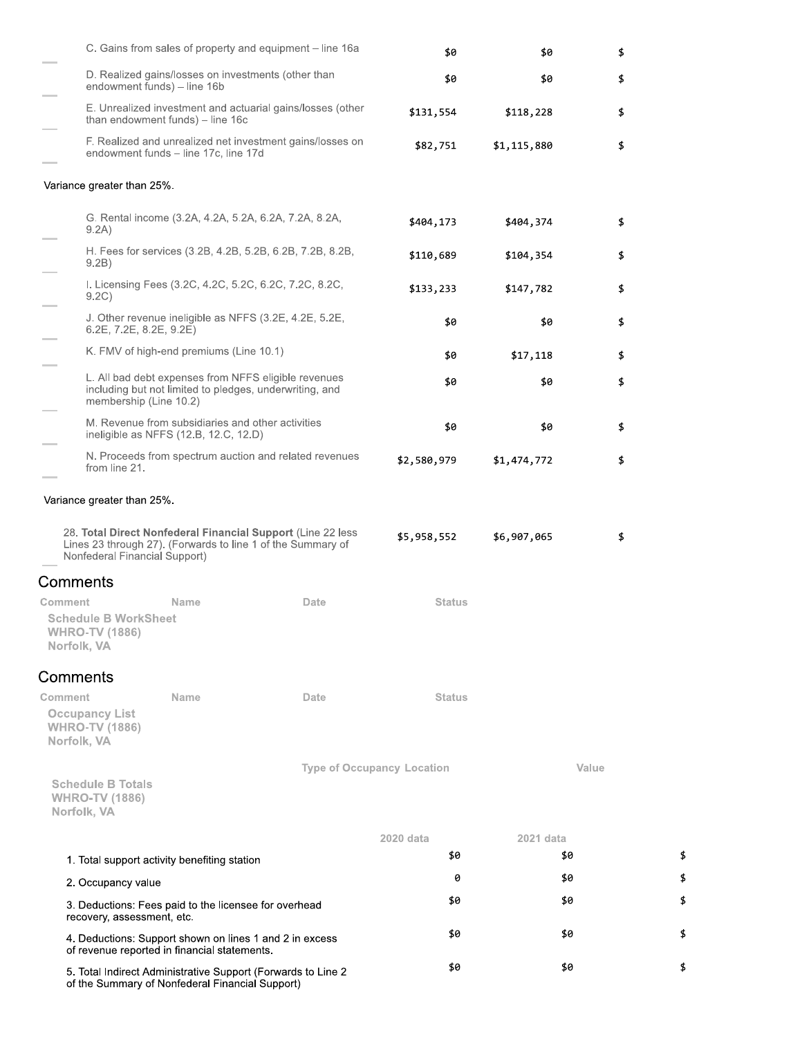|                                                                                                         |                                                                                            | C. Gains from sales of property and equipment – line 16a                                                                   | \$0           | \$0         | \$    |
|---------------------------------------------------------------------------------------------------------|--------------------------------------------------------------------------------------------|----------------------------------------------------------------------------------------------------------------------------|---------------|-------------|-------|
| endowment funds) - line 16b                                                                             | D. Realized gains/losses on investments (other than                                        |                                                                                                                            | \$0           | \$0         | \$    |
|                                                                                                         | than endowment funds) - line 16c                                                           | E. Unrealized investment and actuarial gains/losses (other                                                                 | \$131,554     | \$118,228   | \$    |
|                                                                                                         | endowment funds - line 17c, line 17d                                                       | F. Realized and unrealized net investment gains/losses on                                                                  | \$82,751      | \$1,115,880 | \$    |
| Variance greater than 25%.                                                                              |                                                                                            |                                                                                                                            |               |             |       |
|                                                                                                         |                                                                                            | G. Rental income (3.2A, 4.2A, 5.2A, 6.2A, 7.2A, 8.2A,                                                                      |               |             |       |
| 9.2A)                                                                                                   |                                                                                            |                                                                                                                            | \$404,173     | \$404,374   | \$    |
| 9.2B)                                                                                                   |                                                                                            | H. Fees for services (3.2B, 4.2B, 5.2B, 6.2B, 7.2B, 8.2B,                                                                  | \$110,689     | \$104,354   | \$    |
| 9.2C)                                                                                                   |                                                                                            | I. Licensing Fees (3.2C, 4.2C, 5.2C, 6.2C, 7.2C, 8.2C,                                                                     | \$133,233     | \$147,782   | \$    |
| $6.2E$ , $7.2E$ , $8.2E$ , $9.2E$ )                                                                     |                                                                                            | J. Other revenue ineligible as NFFS (3.2E, 4.2E, 5.2E,                                                                     | \$0           | \$0         | \$    |
|                                                                                                         | K. FMV of high-end premiums (Line 10.1)                                                    |                                                                                                                            | \$0           | \$17,118    | \$    |
| membership (Line 10.2)                                                                                  |                                                                                            | L. All bad debt expenses from NFFS eligible revenues<br>including but not limited to pledges, underwriting, and            | \$0           | \$0         | \$    |
|                                                                                                         | M. Revenue from subsidiaries and other activities<br>ineligible as NFFS (12.B, 12.C, 12.D) |                                                                                                                            | \$0           | \$0         | \$    |
| from line 21.                                                                                           |                                                                                            | N. Proceeds from spectrum auction and related revenues                                                                     | \$2,580,979   | \$1,474,772 | \$    |
| Variance greater than 25%.                                                                              |                                                                                            |                                                                                                                            |               |             |       |
| Nonfederal Financial Support)                                                                           |                                                                                            | 28. Total Direct Nonfederal Financial Support (Line 22 less<br>Lines 23 through 27). (Forwards to line 1 of the Summary of | \$5,958,552   | \$6,907,065 | \$    |
| Comments                                                                                                |                                                                                            |                                                                                                                            |               |             |       |
| Comment                                                                                                 | Name                                                                                       | Date                                                                                                                       | <b>Status</b> |             |       |
| <b>Schedule B WorkSheet</b><br><b>WHRO-TV (1886)</b><br>Norfolk, VA                                     |                                                                                            |                                                                                                                            |               |             |       |
| Comments                                                                                                |                                                                                            |                                                                                                                            |               |             |       |
| Comment                                                                                                 | Name                                                                                       | Date                                                                                                                       | <b>Status</b> |             |       |
| <b>Occupancy List</b><br><b>WHRO-TV (1886)</b><br>Norfolk, VA                                           |                                                                                            |                                                                                                                            |               |             |       |
|                                                                                                         |                                                                                            | <b>Type of Occupancy Location</b>                                                                                          |               |             | Value |
| <b>Schedule B Totals</b><br><b>WHRO-TV (1886)</b><br>Norfolk, VA                                        |                                                                                            |                                                                                                                            |               |             |       |
|                                                                                                         |                                                                                            |                                                                                                                            | 2020 data     | 2021 data   |       |
| 1. Total support activity benefiting station                                                            |                                                                                            |                                                                                                                            | \$0           |             | \$0   |
| 2. Occupancy value                                                                                      |                                                                                            |                                                                                                                            | 0             |             | \$0   |
| 3. Deductions: Fees paid to the licensee for overhead<br>recovery, assessment, etc.                     |                                                                                            |                                                                                                                            | \$0           |             | \$0   |
| 4. Deductions: Support shown on lines 1 and 2 in excess<br>of revenue reported in financial statements. |                                                                                            |                                                                                                                            | \$0           |             | \$0   |
| of the Summary of Nonfederal Financial Support)                                                         |                                                                                            | 5. Total Indirect Administrative Support (Forwards to Line 2                                                               | \$0           |             | \$0   |

 $\pmb{\mathfrak{z}}$  $\boldsymbol{\mathsf{\$}}$  $\pmb{\mathfrak{p}}$ 

\$

 $\pmb{\mathfrak{s}}$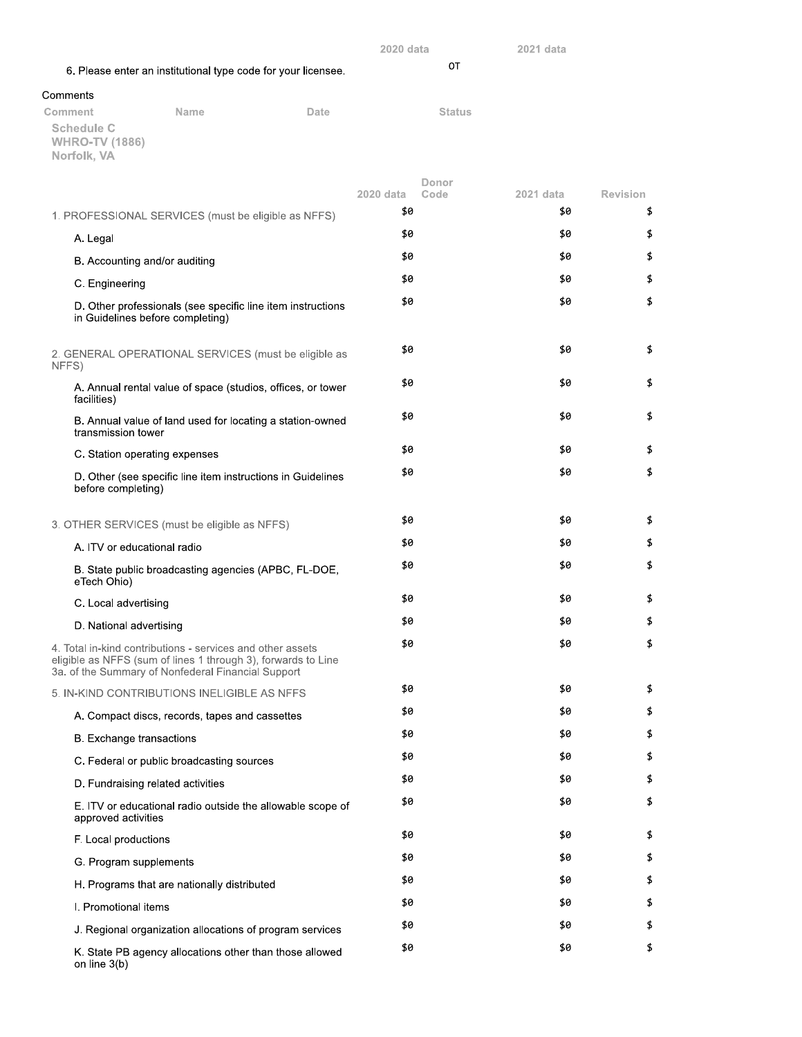|          |                                                           |                                                                                                                  |                                                               | 2020 data |               | 2021 data |                 |
|----------|-----------------------------------------------------------|------------------------------------------------------------------------------------------------------------------|---------------------------------------------------------------|-----------|---------------|-----------|-----------------|
|          |                                                           |                                                                                                                  | 6. Please enter an institutional type code for your licensee. |           | 0T            |           |                 |
| Comments |                                                           |                                                                                                                  |                                                               |           |               |           |                 |
| Comment  | <b>Schedule C</b><br><b>WHRO-TV (1886)</b><br>Norfolk, VA | Name                                                                                                             | Date                                                          |           | <b>Status</b> |           |                 |
|          |                                                           |                                                                                                                  |                                                               | 2020 data | Donor<br>Code | 2021 data | <b>Revision</b> |
|          |                                                           | 1. PROFESSIONAL SERVICES (must be eligible as NFFS)                                                              |                                                               | \$0       |               | \$0       | \$              |
|          | A. Legal                                                  |                                                                                                                  |                                                               | \$0       |               | \$0       | \$              |
|          | B. Accounting and/or auditing                             |                                                                                                                  |                                                               | \$0       |               | \$0       | \$              |
|          | C. Engineering                                            |                                                                                                                  |                                                               | \$0       |               | \$0       | \$              |
|          | in Guidelines before completing)                          |                                                                                                                  | D. Other professionals (see specific line item instructions   | \$0       |               | \$0       | \$              |
| NFFS)    |                                                           |                                                                                                                  | 2. GENERAL OPERATIONAL SERVICES (must be eligible as          | \$0       |               | \$0       | \$              |
|          | facilities)                                               |                                                                                                                  | A. Annual rental value of space (studios, offices, or tower   | \$0       |               | \$0       | \$              |
|          | transmission tower                                        |                                                                                                                  | B. Annual value of land used for locating a station-owned     | \$0       |               | \$0       | \$              |
|          | C. Station operating expenses                             |                                                                                                                  |                                                               | \$0       |               | \$0       | \$              |
|          | before completing)                                        |                                                                                                                  | D. Other (see specific line item instructions in Guidelines   | \$0       |               | \$0       | \$              |
|          |                                                           | 3. OTHER SERVICES (must be eligible as NFFS)                                                                     |                                                               | \$0       |               | \$0       | \$              |
|          | A. ITV or educational radio                               |                                                                                                                  |                                                               | \$0       |               | \$0       | \$              |
|          | eTech Ohio)                                               |                                                                                                                  | B. State public broadcasting agencies (APBC, FL-DOE,          | \$0       |               | \$0       | \$              |
|          | C. Local advertising                                      |                                                                                                                  |                                                               | \$0       |               | \$0       | \$              |
|          | D. National advertising                                   |                                                                                                                  |                                                               | \$0       |               | \$0       | \$              |
|          |                                                           | 4. Total in-kind contributions - services and other assets<br>3a. of the Summary of Nonfederal Financial Support | eligible as NFFS (sum of lines 1 through 3), forwards to Line | \$0       |               | \$0       | \$              |
|          |                                                           | 5. IN-KIND CONTRIBUTIONS INELIGIBLE AS NFFS                                                                      |                                                               | \$0       |               | \$0       | \$              |
|          |                                                           | A. Compact discs, records, tapes and cassettes                                                                   |                                                               | \$0       |               | \$0       | \$              |
|          | <b>B.</b> Exchange transactions                           |                                                                                                                  |                                                               | \$0       |               | \$0       | \$              |
|          |                                                           | C. Federal or public broadcasting sources                                                                        |                                                               | \$0       |               | \$0       | \$              |
|          | D. Fundraising related activities                         |                                                                                                                  |                                                               | \$0       |               | \$0       | \$              |
|          | approved activities                                       |                                                                                                                  | E. ITV or educational radio outside the allowable scope of    | \$0       |               | \$0       | \$              |
|          | F. Local productions                                      |                                                                                                                  |                                                               | \$0       |               | \$0       | \$              |
|          | G. Program supplements                                    |                                                                                                                  |                                                               | \$0       |               | \$0       | \$              |
|          |                                                           | H. Programs that are nationally distributed                                                                      |                                                               | \$0       |               | \$0       | \$              |
|          | I. Promotional items                                      |                                                                                                                  |                                                               | \$0       |               | \$0       | \$              |
|          |                                                           |                                                                                                                  | J. Regional organization allocations of program services      | \$0       |               | \$0       | \$              |
|          |                                                           |                                                                                                                  | K. State PB agency allocations other than those allowed       | \$0       |               | \$0       | \$              |

on line 3(b)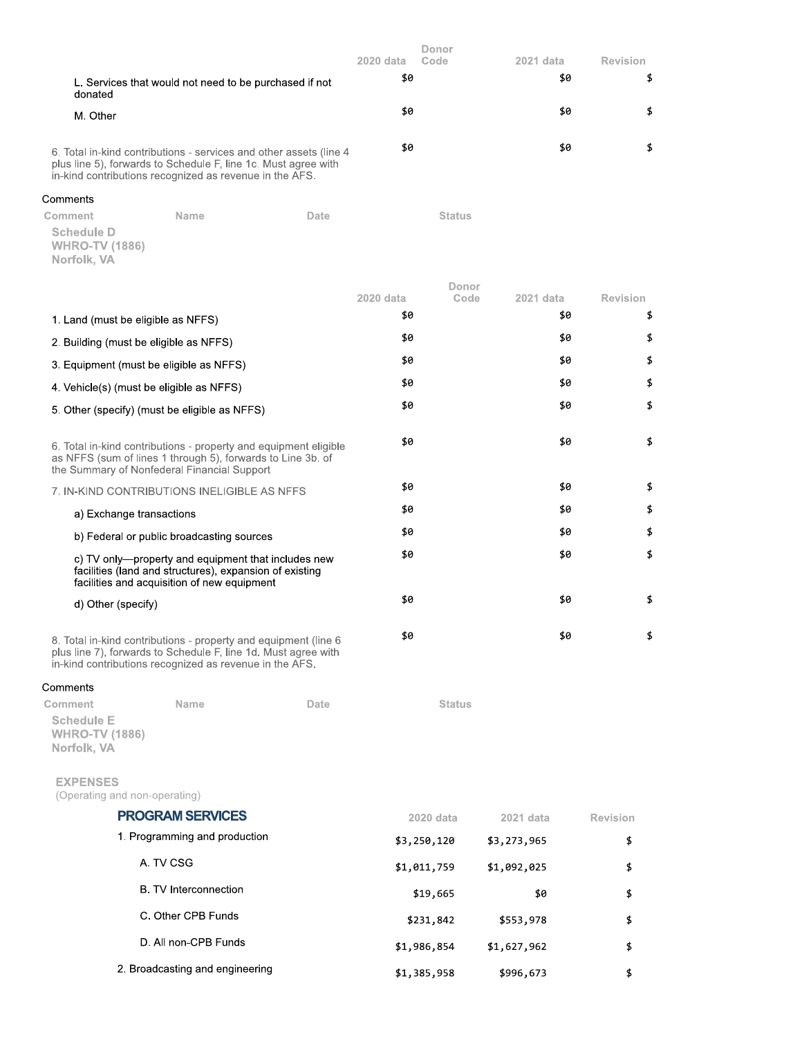|                                                                                                                                                                                                  | 2020 data<br>\$0 | Donor<br>Code | 2021 data<br>\$0 | Revision<br>\$ |
|--------------------------------------------------------------------------------------------------------------------------------------------------------------------------------------------------|------------------|---------------|------------------|----------------|
| L. Services that would not need to be purchased if not<br>donated<br>M. Other                                                                                                                    | \$0              |               | \$0              | \$             |
| 6. Total in-kind contributions - services and other assets (line 4)<br>plus line 5), forwards to Schedule F, line 1c. Must agree with<br>in-kind contributions recognized as revenue in the AFS. | \$0              |               | \$0              |                |

## Comments

| Comment               | <b>Name</b> | Date | <b>Status</b> |
|-----------------------|-------------|------|---------------|
| Schedule D            |             |      |               |
| <b>WHRO-TV (1886)</b> |             |      |               |
| Norfolk, VA           |             |      |               |

|                                                                      |                                                                                                                                                                                              | 2020 data | Donor<br>Code | 2021 data | <b>Revision</b> |    |
|----------------------------------------------------------------------|----------------------------------------------------------------------------------------------------------------------------------------------------------------------------------------------|-----------|---------------|-----------|-----------------|----|
| 1. Land (must be eligible as NFFS)                                   |                                                                                                                                                                                              | \$0       |               | \$0       |                 | \$ |
| 2. Building (must be eligible as NFFS)                               |                                                                                                                                                                                              | \$0       |               | \$0       |                 | \$ |
| 3. Equipment (must be eligible as NFFS)                              |                                                                                                                                                                                              | \$0       |               | \$0       |                 | \$ |
|                                                                      |                                                                                                                                                                                              | \$0       |               | \$0       |                 | \$ |
| 4. Vehicle(s) (must be eligible as NFFS)                             |                                                                                                                                                                                              | \$0       |               | \$0       |                 | \$ |
|                                                                      | 5. Other (specify) (must be eligible as NFFS)                                                                                                                                                |           |               |           |                 |    |
|                                                                      | 6. Total in-kind contributions - property and equipment eligible<br>as NFFS (sum of lines 1 through 5), forwards to Line 3b, of<br>the Summary of Nonfederal Financial Support               | \$0       |               | \$0       |                 | \$ |
| 7. IN-KIND CONTRIBUTIONS INELIGIBLE AS NFFS                          |                                                                                                                                                                                              | \$0       |               | \$0       |                 | \$ |
| a) Exchange transactions                                             |                                                                                                                                                                                              | \$0       |               | \$0       |                 | \$ |
| b) Federal or public broadcasting sources                            |                                                                                                                                                                                              | \$0       |               | \$0       |                 | \$ |
|                                                                      | c) TV only—property and equipment that includes new<br>facilities (land and structures), expansion of existing<br>facilities and acquisition of new equipment                                | \$0       |               | \$0       |                 | \$ |
| d) Other (specify)                                                   |                                                                                                                                                                                              | \$0       |               | \$0       |                 | \$ |
|                                                                      | 8. Total in-kind contributions - property and equipment (line 6<br>plus line 7), forwards to Schedule F, line 1d. Must agree with<br>in-kind contributions recognized as revenue in the AFS. | \$0       |               | \$0       |                 | \$ |
| Comments                                                             |                                                                                                                                                                                              |           |               |           |                 |    |
| Comment<br><b>Schedule E</b><br><b>WHRO-TV (1886)</b><br>Norfolk, VA | Name<br>Date                                                                                                                                                                                 |           | <b>Status</b> |           |                 |    |
| <b>EXPENSES</b><br>(Operating and non-operating)                     |                                                                                                                                                                                              |           |               |           |                 |    |
| <b>PROGRAM SERVICES</b>                                              |                                                                                                                                                                                              |           | 2020 data     | 2021 data | <b>Revision</b> |    |
| 1 Dragramming and production                                         |                                                                                                                                                                                              |           |               |           |                 |    |

| 1. Programming and production   | \$3,250,120 | \$3,273,965 | \$ |
|---------------------------------|-------------|-------------|----|
| A. TV CSG                       | \$1,011,759 | \$1,092,025 | \$ |
| B. TV Interconnection           | \$19,665    | \$0         | \$ |
| C. Other CPB Funds              | \$231,842   | \$553,978   | \$ |
| D. All non-CPB Funds            | \$1,986,854 | \$1,627,962 | \$ |
| 2. Broadcasting and engineering | \$1,385,958 | \$996,673   | \$ |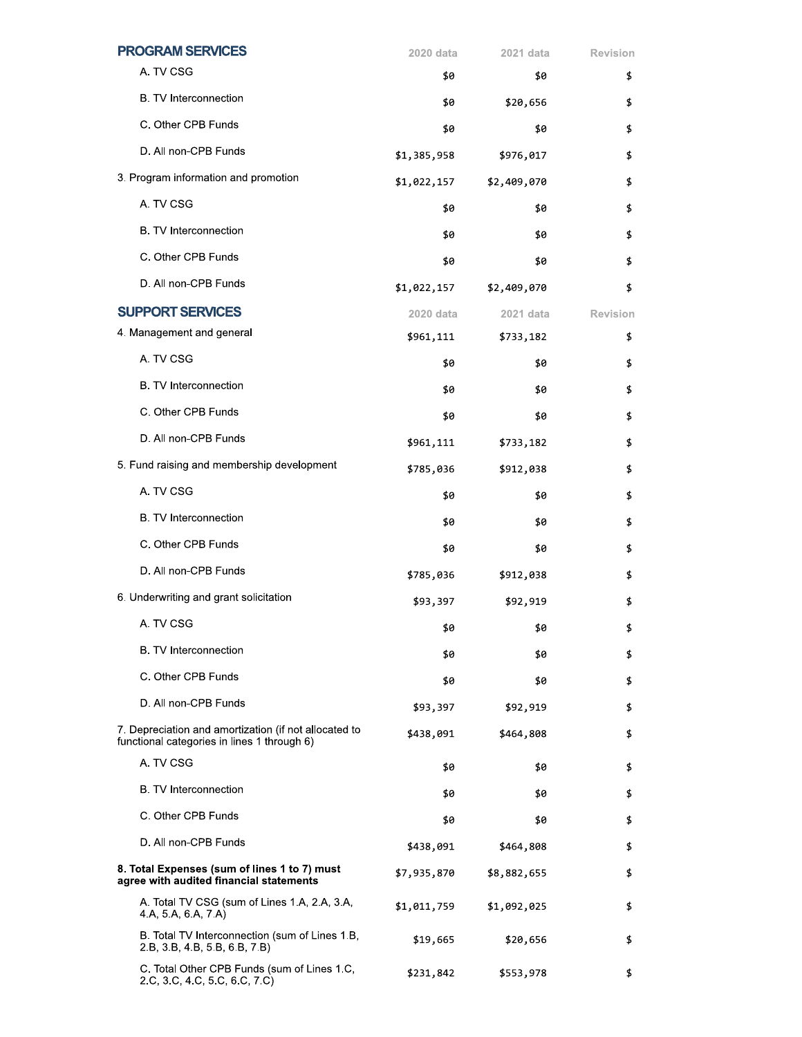| <b>PROGRAM SERVICES</b>                                                                              | 2020 data   | 2021 data   | <b>Revision</b> |
|------------------------------------------------------------------------------------------------------|-------------|-------------|-----------------|
| A. TV CSG                                                                                            | \$0         | \$0         | \$              |
| B. TV Interconnection                                                                                | \$0         | \$20,656    | \$              |
| C. Other CPB Funds                                                                                   | \$0         | \$0         | \$              |
| D. All non-CPB Funds                                                                                 | \$1,385,958 | \$976,017   | \$              |
| 3. Program information and promotion                                                                 | \$1,022,157 | \$2,409,070 | \$              |
| A. TV CSG                                                                                            | \$0         | \$0         | \$              |
| B. TV Interconnection                                                                                | \$0         | \$0         | \$              |
| C. Other CPB Funds                                                                                   | \$0         | \$0         | \$              |
| D. All non-CPB Funds                                                                                 | \$1,022,157 | \$2,409,070 | \$              |
| <b>SUPPORT SERVICES</b>                                                                              | 2020 data   | 2021 data   | Revision        |
| 4. Management and general                                                                            | \$961,111   | \$733,182   | \$              |
| A. TV CSG                                                                                            | \$0         | \$0         | \$              |
| B. TV Interconnection                                                                                | \$0         | \$0         | \$              |
| C. Other CPB Funds                                                                                   | \$0         | \$0         | \$              |
| D. All non-CPB Funds                                                                                 | \$961,111   | \$733,182   | \$              |
| 5. Fund raising and membership development                                                           | \$785,036   | \$912,038   | \$              |
| A. TV CSG                                                                                            | \$0         | \$0         | \$              |
| B. TV Interconnection                                                                                | \$0         | \$0         | \$              |
| C. Other CPB Funds                                                                                   | \$0         | \$0         | \$              |
| D. All non-CPB Funds                                                                                 | \$785,036   | \$912,038   | \$              |
| 6. Underwriting and grant solicitation                                                               | \$93,397    | \$92,919    | \$              |
| A. TV CSG                                                                                            | \$0         | \$0         | \$              |
| <b>B.</b> TV Interconnection                                                                         | \$0         | \$0         | \$              |
| C. Other CPB Funds                                                                                   | \$0         | \$0         | \$              |
| D. All non-CPB Funds                                                                                 | \$93,397    | \$92,919    | \$              |
| 7. Depreciation and amortization (if not allocated to<br>functional categories in lines 1 through 6) | \$438,091   | \$464,808   | \$              |
| A. TV CSG                                                                                            | \$0         | \$0         | \$              |
| <b>B.</b> TV Interconnection                                                                         | \$0         | \$0         | \$              |
| C. Other CPB Funds                                                                                   | \$0         | \$0         | \$              |
| D. All non-CPB Funds                                                                                 | \$438,091   | \$464,808   | \$              |
| 8. Total Expenses (sum of lines 1 to 7) must<br>agree with audited financial statements              | \$7,935,870 | \$8,882,655 | \$              |
| A. Total TV CSG (sum of Lines 1.A, 2.A, 3.A,<br>4.A, 5.A, 6.A, 7.A)                                  | \$1,011,759 | \$1,092,025 | \$              |
| B. Total TV Interconnection (sum of Lines 1.B,<br>2.B, 3.B, 4.B, 5.B, 6.B, 7.B)                      | \$19,665    | \$20,656    | \$              |
| C. Total Other CPB Funds (sum of Lines 1.C,<br>2.C, 3.C, 4.C, 5.C, 6.C, 7.C)                         | \$231,842   | \$553,978   | \$              |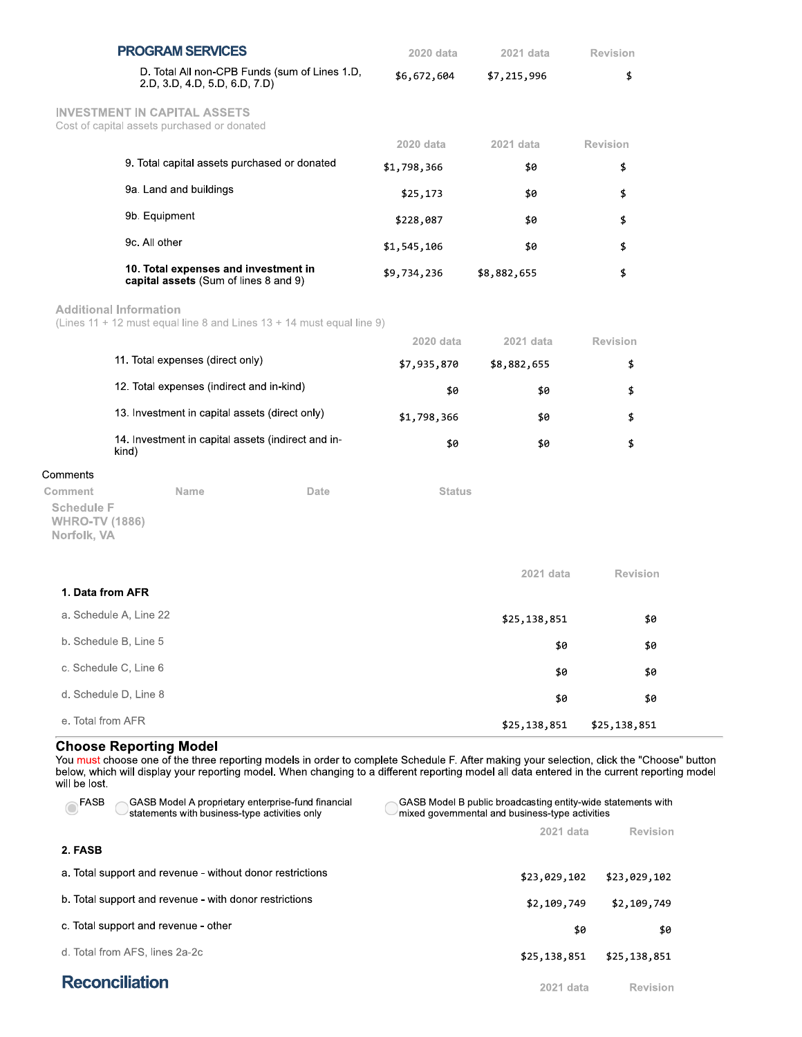|                                                                      | <b>PROGRAM SERVICES</b>                                                            | 2020 data     | 2021 data    | Revision        |
|----------------------------------------------------------------------|------------------------------------------------------------------------------------|---------------|--------------|-----------------|
|                                                                      | D. Total All non-CPB Funds (sum of Lines 1.D,<br>2.D, 3.D, 4.D, 5.D, 6.D, 7.D)     | \$6,672,604   | \$7,215,996  | \$              |
|                                                                      | <b>INVESTMENT IN CAPITAL ASSETS</b><br>Cost of capital assets purchased or donated |               |              |                 |
|                                                                      |                                                                                    | 2020 data     | 2021 data    | Revision        |
|                                                                      | 9. Total capital assets purchased or donated                                       | \$1,798,366   | \$0          | \$              |
|                                                                      | 9a. Land and buildings                                                             | \$25,173      | \$0          | \$              |
|                                                                      | 9b. Equipment                                                                      | \$228,087     | \$0          | \$              |
|                                                                      | 9c. All other                                                                      | \$1,545,106   | \$0          | \$              |
|                                                                      | 10. Total expenses and investment in<br>capital assets (Sum of lines 8 and 9)      | \$9,734,236   | \$8,882,655  | \$              |
|                                                                      | <b>Additional Information</b>                                                      |               |              |                 |
|                                                                      | (Lines 11 + 12 must equal line 8 and Lines 13 + 14 must equal line 9)              | 2020 data     | 2021 data    | <b>Revision</b> |
|                                                                      | 11. Total expenses (direct only)                                                   | \$7,935,870   | \$8,882,655  | \$              |
|                                                                      | 12. Total expenses (indirect and in-kind)                                          | \$0           | \$0          | \$              |
|                                                                      | 13. Investment in capital assets (direct only)                                     |               | \$0          | \$              |
|                                                                      | 14. Investment in capital assets (indirect and in-<br>kind)                        | \$0           | \$0          | \$              |
| Comments                                                             |                                                                                    |               |              |                 |
| Comment<br><b>Schedule F</b><br><b>WHRO-TV (1886)</b><br>Norfolk, VA | Name<br>Date                                                                       | <b>Status</b> |              |                 |
| 1. Data from AFR                                                     |                                                                                    |               | 2021 data    | <b>Revision</b> |
|                                                                      | a. Schedule A, Line 22                                                             |               |              |                 |
|                                                                      |                                                                                    |               | \$25,138,851 | \$0             |
|                                                                      | b. Schedule B, Line 5                                                              |               | \$0          | \$0             |
|                                                                      | c. Schedule C, Line 6                                                              |               | \$0          | \$0             |
|                                                                      | d. Schedule D, Line 8                                                              |               | \$0          | \$0             |
| e. Total from AFR                                                    |                                                                                    |               | \$25,138,851 | \$25,138,851    |
|                                                                      |                                                                                    |               |              |                 |

## **Choose Reporting Model**

You must choose one of the three reporting models in order to complete Schedule F. After making your selection, click the "Choose" button below, which will display your reporting model. When changing to a different reporting model all data entered in the current reporting model will be lost.